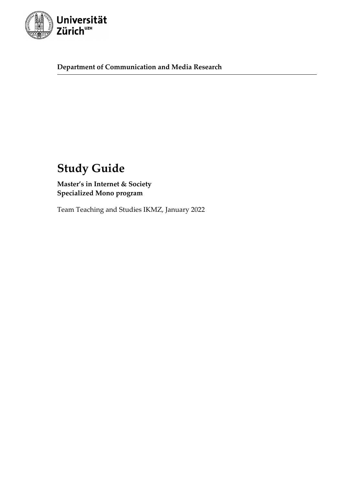

**Department of Communication and Media Research**

# **Study Guide**

**Master's in Internet & Society Specialized Mono program**

Team Teaching and Studies IKMZ, January 2022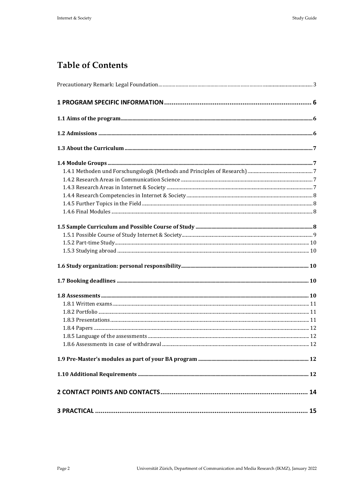# **Table of Contents**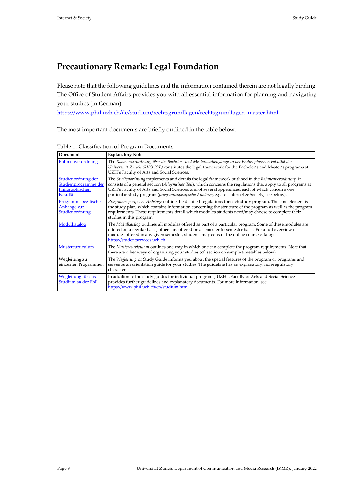# <span id="page-2-0"></span>**Precautionary Remark: Legal Foundation**

Please note that the following guidelines and the information contained therein are not legally binding. The Office of Student Affairs provides you with all essential information for planning and navigating your studies (in German):

[https://www.phil.uzh.ch/de/studium/rechtsgrundlagen/rechtsgrundlagen\\_master.html](https://www.phil.uzh.ch/de/studium/rechtsgrundlagen/rechtsgrundlagen_master.html)

The most important documents are briefly outlined in the table below.

| Document                                                                  | <b>Explanatory Note</b>                                                                                                                                                                                                                                                                                                                                                                                                     |
|---------------------------------------------------------------------------|-----------------------------------------------------------------------------------------------------------------------------------------------------------------------------------------------------------------------------------------------------------------------------------------------------------------------------------------------------------------------------------------------------------------------------|
| Rahmenverordnung                                                          | The Rahmenverordnung über die Bachelor- und Masterstudiengänge an der Philosophischen Fakultät der<br>Universität Zürich (RVO PhF) constitutes the legal framework for the Bachelor's and Master's programs at<br>UZH's Faculty of Arts and Social Sciences.                                                                                                                                                                |
| Studienordnung der<br>Studienprogramme der<br>Philosophischen<br>Fakultät | The Studienordnung implements and details the legal framework outlined in the Rahmenverordnung. It<br>consists of a general section (Allgemeiner Teil), which concerns the regulations that apply to all programs at<br>UZH's Faculty of Arts and Social Sciences, and of several appendices, each of which concerns one<br>particular study program (programmspezifische Anhänge, e.g. for Internet & Society, see below). |
| Programmspezifische<br>Anhänge zur<br>Studienordnung                      | Programmspezifische Anhänge outline the detailed regulations for each study program. The core element is<br>the study plan, which contains information concerning the structure of the program as well as the program<br>requirements. These requirements detail which modules students need/may choose to complete their<br>studies in this program.                                                                       |
| Modulkatalog                                                              | The Modulkatalog outlines all modules offered as part of a particular program. Some of these modules are<br>offered on a regular basis; others are offered on a semester-to-semester basis. For a full overview of<br>modules offered in any given semester, students may consult the online course catalog:<br>https://studentservices.uzh.ch                                                                              |
| Mustercurriculum                                                          | The Mustercurriculum outlines one way in which one can complete the program requirements. Note that<br>there are other ways of organizing your studies (cf. section on sample timetables below).                                                                                                                                                                                                                            |
| Wegleitung zu<br>einzelnen Programmen                                     | The Wegleitung or Study Guide informs you about the special features of the program or programs and<br>serves as an orientation guide for your studies. The guideline has an explanatory, non-regulatory<br>character.                                                                                                                                                                                                      |
| Wegleitung für das<br>Studium an der PhF                                  | In addition to the study guides for individual programs, UZH's Faculty of Arts and Social Sciences<br>provides further guidelines and explanatory documents. For more information, see<br>https://www.phil.uzh.ch/en/studium.html.                                                                                                                                                                                          |

Table 1: Classification of Program Documents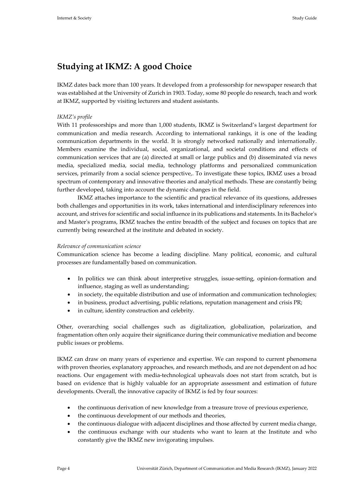# **Studying at IKMZ: A good Choice**

IKMZ dates back more than 100 years. It developed from a professorship for newspaper research that was established at the University of Zurich in 1903. Today, some 80 people do research, teach and work at IKMZ, supported by visiting lecturers and student assistants.

# *IKMZ's profile*

With 11 professorships and more than 1,000 students, IKMZ is Switzerland's largest department for communication and media research. According to international rankings, it is one of the leading communication departments in the world. It is strongly networked nationally and internationally. Members examine the individual, social, organizational, and societal conditions and effects of communication services that are (a) directed at small or large publics and (b) disseminated via news media, specialized media, social media, technology platforms and personalized communication services, primarily from a social science perspective,. To investigate these topics, IKMZ uses a broad spectrum of contemporary and innovative theories and analytical methods. These are constantly being further developed, taking into account the dynamic changes in the field.

IKMZ attaches importance to the scientific and practical relevance of its questions, addresses both challenges and opportunities in its work, takes international and interdisciplinary references into account, and strives for scientific and social influence in its publications and statements. In its Bachelor's and Master's programs, IKMZ teaches the entire breadth of the subject and focuses on topics that are currently being researched at the institute and debated in society.

#### *Relevance of communication science*

Communication science has become a leading discipline. Many political, economic, and cultural processes are fundamentally based on communication.

- In politics we can think about interpretive struggles, issue-setting, opinion-formation and influence, staging as well as understanding;
- in society, the equitable distribution and use of information and communication technologies;
- in business, product advertising, public relations, reputation management and crisis PR;
- in culture, identity construction and celebrity.

Other, overarching social challenges such as digitalization, globalization, polarization, and fragmentation often only acquire their significance during their communicative mediation and become public issues or problems.

IKMZ can draw on many years of experience and expertise. We can respond to current phenomena with proven theories, explanatory approaches, and research methods, and are not dependent on ad hoc reactions. Our engagement with media-technological upheavals does not start from scratch, but is based on evidence that is highly valuable for an appropriate assessment and estimation of future developments. Overall, the innovative capacity of IKMZ is fed by four sources:

- the continuous derivation of new knowledge from a treasure trove of previous experience,
- the continuous development of our methods and theories,
- the continuous dialogue with adjacent disciplines and those affected by current media change,
- the continuous exchange with our students who want to learn at the Institute and who constantly give the IKMZ new invigorating impulses.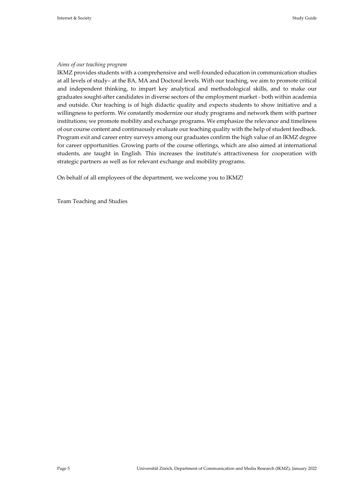#### *Aims of our teaching program*

IKMZ provides students with a comprehensive and well-founded education in communication studies at all levels of study– at the BA, MA and Doctoral levels. With our teaching, we aim to promote critical and independent thinking, to impart key analytical and methodological skills, and to make our graduates sought-after candidates in diverse sectors of the employment market - both within academia and outside. Our teaching is of high didactic quality and expects students to show initiative and a willingness to perform. We constantly modernize our study programs and network them with partner institutions; we promote mobility and exchange programs. We emphasize the relevance and timeliness of our course content and continuously evaluate our teaching quality with the help of student feedback. Program exit and career entry surveys among our graduates confirm the high value of an IKMZ degree for career opportunities. Growing parts of the course offerings, which are also aimed at international students, are taught in English. This increases the institute's attractiveness for cooperation with strategic partners as well as for relevant exchange and mobility programs.

On behalf of all employees of the department, we welcome you to IKMZ!

Team Teaching and Studies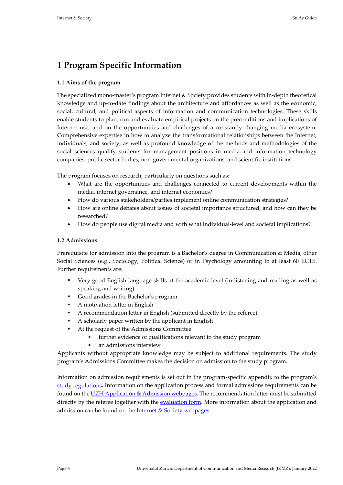# <span id="page-5-0"></span>**1 Program Specific Information**

# <span id="page-5-1"></span>**1.1 Aims of the program**

The specialized mono-master's program Internet & Society provides students with in-depth theoretical knowledge and up-to-date findings about the architecture and affordances as well as the economic, social, cultural, and political aspects of information and communication technologies. These skills enable students to plan, run and evaluate empirical projects on the preconditions and implications of Internet use, and on the opportunities and challenges of a constantly changing media ecosystem. Comprehensive expertise in how to analyze the transformational relationships between the Internet, individuals, and society, as well as profound knowledge of the methods and methodologies of the social sciences qualify students for management positions in media and information technology companies, public sector bodies, non-governmental organizations, and scientific institutions.

The program focuses on research, particularly on questions such as:

- What are the opportunities and challenges connected to current developments within the media, internet governance, and internet economics?
- How do various stakeholders/parties implement online communication strategies?
- How are online debates about issues of societal importance structured, and how can they be researched?
- How do people use digital media and with what individual-level and societal implications?

# <span id="page-5-2"></span>**1.2 Admissions**

Prerequisite for admission into the program is a Bachelor's degree in Communication & Media, other Social Sciences (e.g., Sociology, Political Science) or in Psychology amounting to at least 60 ECTS. Further requirements are:

- Very good English language skills at the academic level (in listening and reading as well as speaking and writing)
- Good grades in the Bachelor's program
- A motivation letter in English
- A recommendation letter in English (submitted directly by the referee)
- A scholarly paper written by the applicant in English
- At the request of the Admissions Committee:
	- further evidence of qualifications relevant to the study program
	- an admissions interview

Applicants without appropriate knowledge may be subject to additional requirements. The study program's Admissions Committee makes the decision on admission to the study program.

Information on admission requirements is set out in the program-specific appendix to the program's [study regulations.](https://www.phil.uzh.ch/dam/jcr:36c97728-7c79-45b3-83ce-a65881615123/STO_06M-7248-120_HS22.pdf) Information on the application process and formal admissions requirements can be found on the UZH Application  $&$  Admission webpages. The recommendation letter must be submitted directly by the referee together with the [evaluation form.](https://www.ikmz.uzh.ch/static/recomm_letter/RECOMM_LETTER.php) More information about the application and admission can be found on the [Internet & Society webpages.](https://www.ikmz.uzh.ch/en/studies/master/internet-society/application-and-admission.html)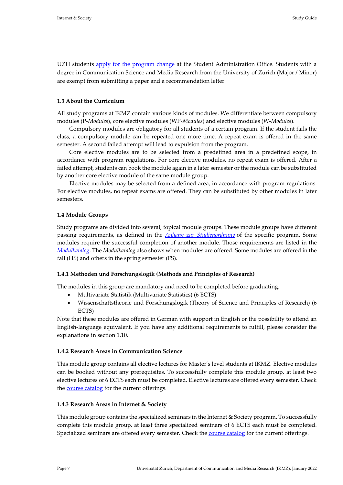UZH students [apply for the program change](https://www.students.uzh.ch/en/registration/subjectchange.html) at the Student Administration Office. Students with a degree in Communication Science and Media Research from the University of Zurich (Major / Minor) are exempt from submitting a paper and a recommendation letter.

# <span id="page-6-0"></span>**1.3 About the Curriculum**

All study programs at IKMZ contain various kinds of modules. We differentiate between compulsory modules (P*-Modules*), core elective modules (WP*-Modules*) and elective modules (W-*Modules*).

Compulsory modules are obligatory for all students of a certain program. If the student fails the class, a compulsory module can be repeated one more time. A repeat exam is offered in the same semester. A second failed attempt will lead to expulsion from the program.

Core elective modules are to be selected from a predefined area in a predefined scope, in accordance with program regulations. For core elective modules, no repeat exam is offered. After a failed attempt, students can book the module again in a later semester or the module can be substituted by another core elective module of the same module group.

Elective modules may be selected from a defined area, in accordance with program regulations. For elective modules, no repeat exams are offered. They can be substituted by other modules in later semesters.

#### <span id="page-6-1"></span>**1.4 Module Groups**

Study programs are divided into several, topical module groups. These module groups have different passing requirements, as defined in the *[Anhang zur Studienordnung](https://www.phil.uzh.ch/dam/jcr:36c97728-7c79-45b3-83ce-a65881615123/STO_06M-7248-120_HS22.pdf)* of the specific program. Some modules require the successful completion of another module. Those requirements are listed in the *[Modulkatalog](https://www.phil.uzh.ch/dam/jcr:9e54fcb2-c3ba-4ad2-b9d3-686b70bbe2d1/MK_06M-7248-120_Internet_&_Society.pdf)*. The *Modulkatalog* also shows when modules are offered. Some modules are offered in the fall (HS) and others in the spring semester (FS).

#### <span id="page-6-2"></span>**1.4.1 Methoden und Forschungslogik (Methods and Principles of Research)**

The modules in this group are mandatory and need to be completed before graduating.

- Multivariate Statistik (Multivariate Statistics) (6 ECTS)
- Wissenschaftstheorie und Forschungslogik (Theory of Science and Principles of Research) (6 ECTS)

Note that these modules are offered in German with support in English or the possibility to attend an English-language equivalent. If you have any additional requirements to fulfill, please consider the explanations in section 1.10.

#### <span id="page-6-3"></span>**1.4.2 Research Areas in Communication Science**

This module group contains all elective lectures for Master's level students at IKMZ. Elective modules can be booked without any prerequisites. To successfully complete this module group, at least two elective lectures of 6 ECTS each must be completed. Elective lectures are offered every semester. Check the [course catalog](https://studentservices.uzh.ch/uzh/anonym/vvz/index.html?sap-language=EN&sap-ui-language=EN#/details/2021/004/CGStudyProgramDetail/50918541/50000007/Faculty%2520of%2520Arts%2520and%2520Social%2520Sciences/50896640/Master%2520of%2520Arts%2520in%2520Social%2520Sciences%2520(Bologna%25202020)) for the current offerings.

#### <span id="page-6-4"></span>**1.4.3 Research Areas in Internet & Society**

This module group contains the specialized seminars in the Internet & Society program. To successfully complete this module group, at least three specialized seminars of 6 ECTS each must be completed. Specialized seminars are offered every semester. Check the [course catalog](https://studentservices.uzh.ch/uzh/anonym/vvz/index.html?sap-language=EN&sap-ui-language=EN#/details/2021/004/CGStudyProgramDetail/50918541/50000007/Faculty%2520of%2520Arts%2520and%2520Social%2520Sciences/50896640/Master%2520of%2520Arts%2520in%2520Social%2520Sciences%2520(Bologna%25202020)) for the current offerings.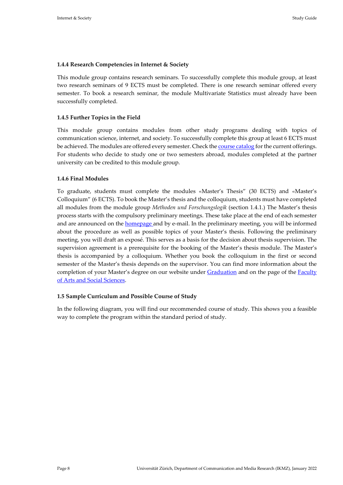### <span id="page-7-0"></span>**1.4.4 Research Competencies in Internet & Society**

This module group contains research seminars. To successfully complete this module group, at least two research seminars of 9 ECTS must be completed. There is one research seminar offered every semester. To book a research seminar, the module Multivariate Statistics must already have been successfully completed.

# <span id="page-7-1"></span>**1.4.5 Further Topics in the Field**

This module group contains modules from other study programs dealing with topics of communication science, internet, and society. To successfully complete this group at least 6 ECTS must be achieved. The modules are offered every semester. Check the [course catalog](https://studentservices.uzh.ch/uzh/anonym/vvz/index.html?sap-language=EN&sap-ui-language=EN#/details/2021/004/CGStudyProgramDetail/50918541/50000007/Faculty%2520of%2520Arts%2520and%2520Social%2520Sciences/50896640/Master%2520of%2520Arts%2520in%2520Social%2520Sciences%2520(Bologna%25202020)) for the current offerings. For students who decide to study one or two semesters abroad, modules completed at the partner university can be credited to this module group.

### <span id="page-7-2"></span>**1.4.6 Final Modules**

To graduate, students must complete the modules «Master's Thesis" (30 ECTS) and «Master's Colloquium" (6 ECTS). To book the Master's thesis and the colloquium, students must have completed all modules from the module group *Methoden und Forschungslogik* (section 1.4.1.) The Master's thesis process starts with the compulsory preliminary meetings. These take place at the end of each semester and are announced on the **homepage** and by e-mail. In the preliminary meeting, you will be informed about the procedure as well as possible topics of your Master's thesis. Following the preliminary meeting, you will draft an exposé. This serves as a basis for the decision about thesis supervision. The supervision agreement is a prerequisite for the booking of the Master's thesis module. The Master's thesis is accompanied by a colloquium. Whether you book the colloquium in the first or second semester of the Master's thesis depends on the supervisor. You can find more information about the completion of your Master's degree on our website under [Graduation](https://www.ikmz.uzh.ch/en/studies/master/degree.html) and on the page of the Faculty [of Arts and Social Sciences.](https://www.phil.uzh.ch/en/studium/studentservices/abschluss/master.html)

#### <span id="page-7-3"></span>**1.5 Sample Curriculum and Possible Course of Study**

In the following diagram, you will find our recommended course of study. This shows you a feasible way to complete the program within the standard period of study.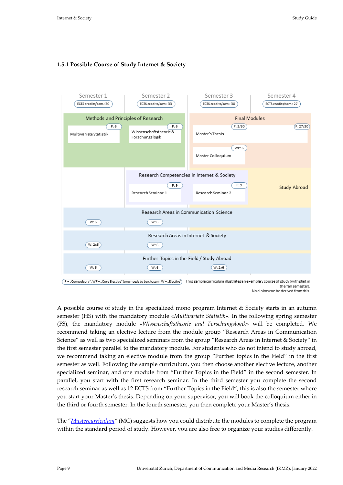# <span id="page-8-0"></span>**1.5.1 Possible Course of Study Internet & Society**



the fall semester). No claims can be derived from this.

A possible course of study in the specialized mono program Internet & Society starts in an autumn semester (HS) with the mandatory module «*Multivariate Statistik*». In the following spring semester (FS), the mandatory module «*Wissenschaftstheorie und Forschungslogik*» will be completed. We recommend taking an elective lecture from the module group "Research Areas in Communication Science" as well as two specialized seminars from the group "Research Areas in Internet & Society" in the first semester parallel to the mandatory module. For students who do not intend to study abroad, we recommend taking an elective module from the group "Further topics in the Field" in the first semester as well. Following the sample curriculum, you then choose another elective lecture, another specialized seminar, and one module from "Further Topics in the Field" in the second semester. In parallel, you start with the first research seminar. In the third semester you complete the second research seminar as well as 12 ECTS from "Further Topics in the Field", this is also the semester where you start your Master's thesis. Depending on your supervisor, you will book the colloquium either in the third or fourth semester. In the fourth semester, you then complete your Master's thesis.

The "*[Mustercurriculum"](https://www.phil.uzh.ch/dam/jcr:24604676-b737-49e0-90e6-b1a6761b8509/06M-7248-120_Internet_&_Society.pdf)* (MC) suggests how you could distribute the modules to complete the program within the standard period of study. However, you are also free to organize your studies differently.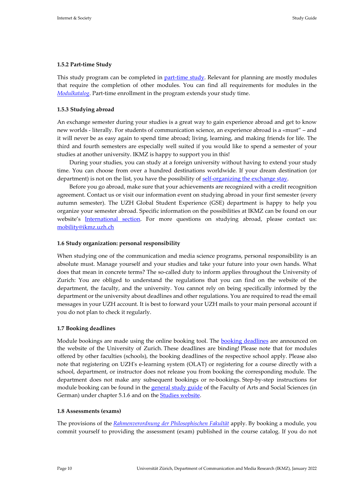### <span id="page-9-0"></span>**1.5.2 Part-time Study**

This study program can be completed in [part-time study.](https://www.studienberatung.uzh.ch/en/studieneinstiegsphase/gestaltungdesstudiums.html) Relevant for planning are mostly modules that require the completion of other modules. You can find all requirements for modules in the *[Modulkatalog](https://www.phil.uzh.ch/dam/jcr:9e54fcb2-c3ba-4ad2-b9d3-686b70bbe2d1/MK_06M-7248-120_Internet_&_Society.pdf)*. Part-time enrollment in the program extends your study time.

# <span id="page-9-1"></span>**1.5.3 Studying abroad**

An exchange semester during your studies is a great way to gain experience abroad and get to know new worlds - literally. For students of communication science, an experience abroad is a «must" – and it will never be as easy again to spend time abroad; living, learning, and making friends for life. The third and fourth semesters are especially well suited if you would like to spend a semester of your studies at another university. IKMZ is happy to support you in this!

During your studies, you can study at a foreign university without having to extend your study time. You can choose from over a hundred destinations worldwide. If your dream destination (or department) is not on the list, you have the possibility o[f self-organizing the exchange stay.](https://www.int.uzh.ch/en/out/self.html)

Before you go abroad, make sure that your achievements are recognized with a credit recognition agreement. Contact us or visit our information event on studying abroad in your first semester (every autumn semester). The UZH [Global Student Experience \(GSE\)](https://www.int.uzh.ch/en.html) department is happy to help you organize your semester abroad. Specific information on the possibilities at IKMZ can be found on our website's [International](https://www.ikmz.uzh.ch/en/studies/study-mobility.html) section. For more questions on studying abroad, please contact us: [mobility@ikmz.uzh.ch](mailto:mobility@ikmz.uzh.ch)

# <span id="page-9-2"></span>**1.6 Study organization: personal responsibility**

When studying one of the communication and media science programs, personal responsibility is an absolute must. Manage yourself and your studies and take your future into your own hands. What does that mean in concrete terms? The so-called duty to inform applies throughout the University of Zurich: You are obliged to understand the regulations that you can find on the website of the department, the faculty, and the university. You cannot rely on being specifically informed by the department or the university about deadlines and other regulations. You are required to read the email messages in your UZH account. It is best to forward your UZH mails to your main personal account if you do not plan to check it regularly.

# <span id="page-9-3"></span>**1.7 Booking deadlines**

Module bookings are made using the online booking tool. The **booking deadlines** are announced on the website of the University of Zurich. These deadlines are binding! Please note that for modules offered by other faculties (schools), the booking deadlines of the respective school apply. Please also note that registering on UZH's e-learning system (OLAT) or registering for a course directly with a school, department, or instructor does not release you from booking the corresponding module. The department does not make any subsequent bookings or re-bookings. Step-by-step instructions for module booking can be found in the [general study guide](https://www.phil.uzh.ch/dam/jcr:f2ff857e-720b-4619-9b49-eae97cff49a2/B2020_Allg_Wegleitung_HS19.pdf) of the Faculty of Arts and Social Sciences (in German) under chapter 5.1.6 and on the **Studies website**.

#### <span id="page-9-4"></span>**1.8 Assessments (exams)**

The provisions of the *Rahmenverordnung der [Philosophischen Fakultät](http://www2.zhlex.zh.ch/Appl/zhlex_r.nsf/0/CA42370848241342C12583400037F894/$file/415.455.1.pdf)* apply. By booking a module, you commit yourself to providing the assessment (exam) published in the course catalog. If you do not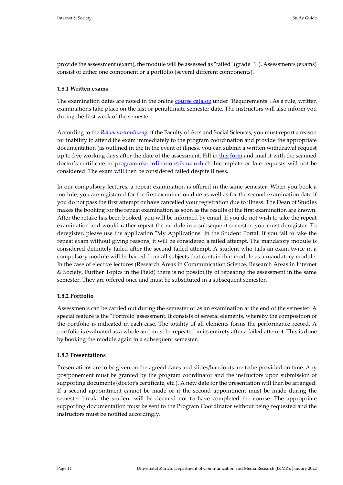provide the assessment (exam), the module will be assessed as "failed" (grade "1"). Assessments (exams) consist of either one component or a portfolio (several different components).

#### <span id="page-10-0"></span>**1.8.1 Written exams**

The examination dates are noted in the online [course catalog](https://studentservices.uzh.ch/uzh/anonym/vvz/index.html?sap-language=EN&sap-ui-language=EN#/details/2021/004/CGStudyProgramDetail/50918541/50000007/Faculty%2520of%2520Arts%2520and%2520Social%2520Sciences/50896640/Master%2520of%2520Arts%2520in%2520Social%2520Sciences%2520(Bologna%25202020)) under "Requirements". As a rule, written examinations take place on the last or penultimate semester date. The instructors will also inform you during the first week of the semester.

According to the *[Rahmenverordnung](http://www2.zhlex.zh.ch/Appl/zhlex_r.nsf/0/CA42370848241342C12583400037F894/$file/415.455.1.pdf)* of the Faculty of Arts and Social Sciences, you must report a reason for inability to attend the exam immediately to the program coordination and provide the appropriate documentation (as outlined in the In the event of illness, you can submit a written withdrawal request up to five working days after the date of the assessment. Fill in [this form](https://www.ikmz.uzh.ch/dam/jcr:80714d98-806c-48ea-90f0-acd69fbbd4ca/gesuch_klausurabmeldung_08.2019.pdf) and mail it with the scanned doctor's certificate to programmkoordination@ikmz.uzh.ch. Incomplete or late requests will not be considered. The exam will then be considered failed despite illness.

In our compulsory lectures, a repeat examination is offered in the same semester. When you book a module, you are registered for the first examination date as well as for the second examination date if you do not pass the first attempt or have cancelled your registration due to illness. The Dean of Studies makes the booking for the repeat examination as soon as the results of the first examination are known. After the retake has been booked, you will be informed by email. If you do not wish to take the repeat examination and would rather repeat the module in a subsequent semester, you must deregister. To deregister, please use the application "My Applications" in the Student Portal. If you fail to take the repeat exam without giving reasons, it will be considered a failed attempt. The mandatory module is considered definitely failed after the second failed attempt. A student who fails an exam twice in a compulsory module will be barred from all subjects that contain that module as a mandatory module. In the case of elective lectures (Research Areas in Communication Science, Research Areas in Internet & Society, Further Topics in the Field) there is no possibility of repeating the assessment in the same semester. They are offered once and must be substituted in a subsequent semester.

#### <span id="page-10-1"></span>**1.8.2 Portfolio**

Assessments can be carried out during the semester or as an examination at the end of the semester. A special feature is the "Portfolio"assessment. It consists of several elements, whereby the composition of the portfolio is indicated in each case. The totality of all elements forms the performance record. A portfolio is evaluated as a whole and must be repeated in its entirety after a failed attempt. This is done by booking the module again in a subsequent semester.

#### <span id="page-10-2"></span>**1.8.3 Presentations**

Presentations are to be given on the agreed dates and slides/handouts are to be provided on time. Any postponement must be granted by the program coordinator and the instructors upon submission of supporting documents (doctor's certificate, etc.). A new date for the presentation will then be arranged. If a second appointment cannot be made or if the second appointment must be made during the semester break, the student will be deemed not to have completed the course. The appropriate supporting documentation must be sent to the Program Coordinator without being requested and the instructors must be notified accordingly.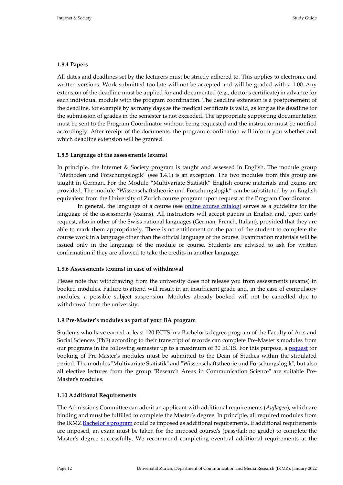### <span id="page-11-0"></span>**1.8.4 Papers**

All dates and deadlines set by the lecturers must be strictly adhered to. This applies to electronic and written versions. Work submitted too late will not be accepted and will be graded with a 1.00. Any extension of the deadline must be applied for and documented (e.g., doctor's certificate) in advance for each individual module with the program coordination. The deadline extension is a postponement of the deadline, for example by as many days as the medical certificate is valid, as long as the deadline for the submission of grades in the semester is not exceeded. The appropriate supporting documentation must be sent to the Program Coordinator without being requested and the instructor must be notified accordingly. After receipt of the documents, the program coordination will inform you whether and which deadline extension will be granted.

### <span id="page-11-1"></span>**1.8.5 Language of the assessments (exams)**

In principle, the Internet & Society program is taught and assessed in English. The module group "Methoden und Forschungslogik" (see 1.4.1) is an exception. The two modules from this group are taught in German. For the Module "Multivariate Statistik" English course materials and exams are provided. The module "Wissenschaftstheorie und Forschungslogik" can be substituted by an English equivalent from the University of Zurich course program upon request at the Program Coordinator.

In general, the language of a course (see [online course catalog\)](https://studentservices.uzh.ch/uzh/anonym/vvz/?sap-language=EN&sap-ui-language=EN#/details/2021/003/CGStudyProgramDetail/50918541/50000007/Philosophische%2520Fakult%25C3%25A4t/50896640/Master%2520of%2520Arts%2520in%2520Sozialwissenschaften%2520(Bologna%25202020)) serves as a guideline for the language of the assessments (exams). All instructors will accept papers in English and, upon early request, also in other of the Swiss national languages (German, French, Italian), provided that they are able to mark them appropriately. There is no entitlement on the part of the student to complete the course work in a language other than the official language of the course. Examination materials will be issued only in the language of the module or course. Students are advised to ask for written confirmation if they are allowed to take the credits in another language.

#### <span id="page-11-2"></span>**1.8.6 Assessments (exams) in case of withdrawal**

Please note that withdrawing from the university does not release you from assessments (exams) in booked modules. Failure to attend will result in an insufficient grade and, in the case of compulsory modules, a possible subject suspension. Modules already booked will not be cancelled due to withdrawal from the university.

#### <span id="page-11-3"></span>**1.9 Pre-Master's modules as part of your BA program**

Students who have earned at least 120 ECTS in a Bachelor's degree program of the Faculty of Arts and Social Sciences (PhF) according to their transcript of records can complete Pre-Master's modules from our programs in the following semester up to a maximum of 30 ECTS. For this purpose, a [request](https://www.phil.uzh.ch/en/studium/studentservices/vorgezogenemastermodule.html) for booking of Pre-Master's modules must be submitted to the Dean of Studies within the stipulated period. The modules "Multivariate Statistik" and "Wissenschaftstheorie und Forschungslogik", but also all elective lectures from the group "Research Areas in Communication Science" are suitable Pre-Master's modules.

#### <span id="page-11-4"></span>**1.10 Additional Requirements**

The Admissions Committee can admit an applicant with additional requirements (*Auflagen*), which are binding and must be fulfilled to complete the Master's degree. In principle, all required modules from the IKMZ [Bachelor's](https://www.ikmz.uzh.ch/en/studies/bachelor/ba-communication-science-and-media-research.html) program could be imposed as additional requirements. If additional requirements are imposed, an exam must be taken for the imposed course/s (pass/fail; no grade) to complete the Master's degree successfully. We recommend completing eventual additional requirements at the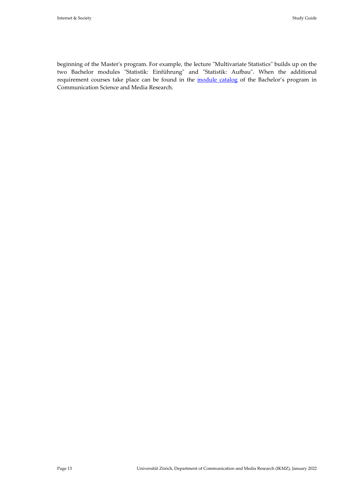beginning of the Master's program. For example, the lecture "Multivariate Statistics" builds up on the two Bachelor modules "Statistik: Einführung" and "Statistik: Aufbau". When the additional requirement courses take place can be found in the [module catalog](https://www.phil.uzh.ch/dam/jcr:04b93adc-5b5f-47fb-bb9b-9cdbee590e8b/MK_06B-7254-120_Kommunikationswissenschaft_und_Medienforschung.pdf) of the Bachelor's program in Communication Science and Media Research.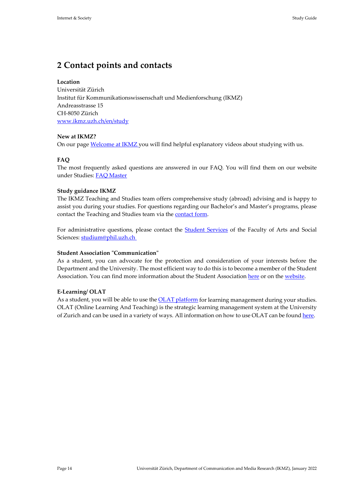# <span id="page-13-0"></span>**2 Contact points and contacts**

# **Location**

Universität Zürich Institut für Kommunikationswissenschaft und Medienforschung (IKMZ) Andreasstrasse 15 CH-8050 Zürich [www.ikmz.uzh.ch/en/study](http://www.ikmz.uzh.ch/en/study)

# **New at IKMZ?**

On our page [Welcome at IKMZ](https://www.ikmz.uzh.ch/en/studies/new-at-ikmz.html) you will find helpful explanatory videos about studying with us.

# **FAQ**

The most frequently asked questions are answered in our FAQ. You will find them on our website under Studies: [FAQ Master](https://www.ikmz.uzh.ch/en/studies/master/faq-ma.html)

# **Study guidance IKMZ**

The IKMZ Teaching and Studies team offers comprehensive study (abroad) advising and is happy to assist you during your studies. For questions regarding our Bachelor's and Master's programs, please contact the Teaching and Studies team via the [contact form.](https://www.ikmz.uzh.ch/en/studies/student-counselling/contact-form.html)

For administrative questions, please contact the **Student Services** of the Faculty of Arts and Social Sciences: [studium@phil.uzh.ch](mailto:studium@phil.uzh.ch%C2%A0)

# **Student Association "Communication"**

As a student, you can advocate for the protection and consideration of your interests before the Department and the University. The most efficient way to do this is to become a member of the Student Association. You can find more information about the Student Association [here](https://fachverein.com/fachvereinsabend/) or on th[e website.](https://www.ikmz.uzh.ch/de/study/fv.html)

# **E-Learning/ OLAT**

As a student, you will be able to use the **OLAT** platform for learning management during your studies. OLAT (Online Learning And Teaching) is the strategic learning management system at the University of Zurich and can be used in a variety of ways. All information on how to use OLAT can be foun[d here.](https://www.zi.uzh.ch/en/teaching-and-research/software-elearning/olat.html)